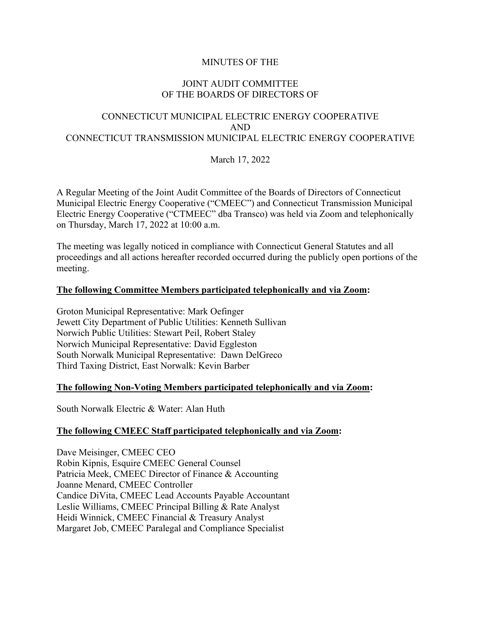## MINUTES OF THE

#### JOINT AUDIT COMMITTEE OF THE BOARDS OF DIRECTORS OF

# CONNECTICUT MUNICIPAL ELECTRIC ENERGY COOPERATIVE AND CONNECTICUT TRANSMISSION MUNICIPAL ELECTRIC ENERGY COOPERATIVE

March 17, 2022

A Regular Meeting of the Joint Audit Committee of the Boards of Directors of Connecticut Municipal Electric Energy Cooperative ("CMEEC") and Connecticut Transmission Municipal Electric Energy Cooperative ("CTMEEC" dba Transco) was held via Zoom and telephonically on Thursday, March 17, 2022 at 10:00 a.m.

The meeting was legally noticed in compliance with Connecticut General Statutes and all proceedings and all actions hereafter recorded occurred during the publicly open portions of the meeting.

#### **The following Committee Members participated telephonically and via Zoom:**

Groton Municipal Representative: Mark Oefinger Jewett City Department of Public Utilities: Kenneth Sullivan Norwich Public Utilities: Stewart Peil, Robert Staley Norwich Municipal Representative: David Eggleston South Norwalk Municipal Representative: Dawn DelGreco Third Taxing District, East Norwalk: Kevin Barber

#### **The following Non-Voting Members participated telephonically and via Zoom:**

South Norwalk Electric & Water: Alan Huth

#### **The following CMEEC Staff participated telephonically and via Zoom:**

Dave Meisinger, CMEEC CEO Robin Kipnis, Esquire CMEEC General Counsel Patricia Meek, CMEEC Director of Finance & Accounting Joanne Menard, CMEEC Controller Candice DiVita, CMEEC Lead Accounts Payable Accountant Leslie Williams, CMEEC Principal Billing & Rate Analyst Heidi Winnick, CMEEC Financial & Treasury Analyst Margaret Job, CMEEC Paralegal and Compliance Specialist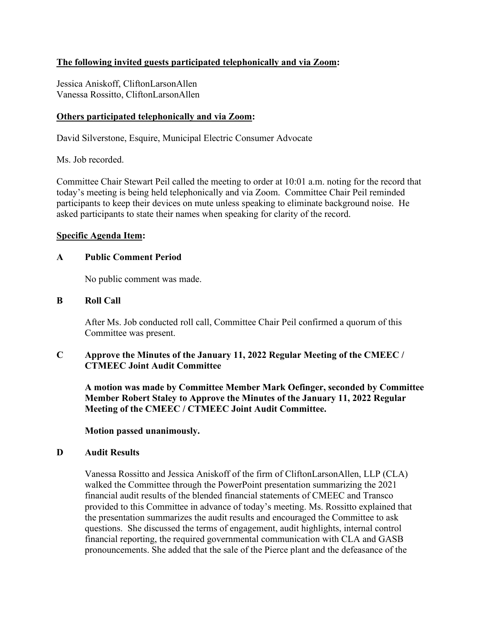# **The following invited guests participated telephonically and via Zoom:**

Jessica Aniskoff, CliftonLarsonAllen Vanessa Rossitto, CliftonLarsonAllen

## **Others participated telephonically and via Zoom:**

David Silverstone, Esquire, Municipal Electric Consumer Advocate

Ms. Job recorded.

Committee Chair Stewart Peil called the meeting to order at 10:01 a.m. noting for the record that today's meeting is being held telephonically and via Zoom. Committee Chair Peil reminded participants to keep their devices on mute unless speaking to eliminate background noise. He asked participants to state their names when speaking for clarity of the record.

## **Specific Agenda Item:**

#### **A Public Comment Period**

No public comment was made.

## **B Roll Call**

After Ms. Job conducted roll call, Committee Chair Peil confirmed a quorum of this Committee was present.

## **C Approve the Minutes of the January 11, 2022 Regular Meeting of the CMEEC / CTMEEC Joint Audit Committee**

**A motion was made by Committee Member Mark Oefinger, seconded by Committee Member Robert Staley to Approve the Minutes of the January 11, 2022 Regular Meeting of the CMEEC / CTMEEC Joint Audit Committee.**

**Motion passed unanimously.**

#### **D Audit Results**

Vanessa Rossitto and Jessica Aniskoff of the firm of CliftonLarsonAllen, LLP (CLA) walked the Committee through the PowerPoint presentation summarizing the 2021 financial audit results of the blended financial statements of CMEEC and Transco provided to this Committee in advance of today's meeting. Ms. Rossitto explained that the presentation summarizes the audit results and encouraged the Committee to ask questions. She discussed the terms of engagement, audit highlights, internal control financial reporting, the required governmental communication with CLA and GASB pronouncements. She added that the sale of the Pierce plant and the defeasance of the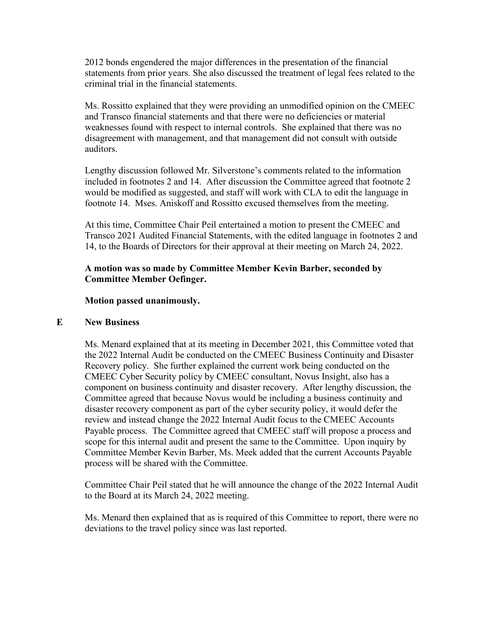2012 bonds engendered the major differences in the presentation of the financial statements from prior years. She also discussed the treatment of legal fees related to the criminal trial in the financial statements.

Ms. Rossitto explained that they were providing an unmodified opinion on the CMEEC and Transco financial statements and that there were no deficiencies or material weaknesses found with respect to internal controls. She explained that there was no disagreement with management, and that management did not consult with outside auditors.

Lengthy discussion followed Mr. Silverstone's comments related to the information included in footnotes 2 and 14. After discussion the Committee agreed that footnote 2 would be modified as suggested, and staff will work with CLA to edit the language in footnote 14. Mses. Aniskoff and Rossitto excused themselves from the meeting.

At this time, Committee Chair Peil entertained a motion to present the CMEEC and Transco 2021 Audited Financial Statements, with the edited language in footnotes 2 and 14, to the Boards of Directors for their approval at their meeting on March 24, 2022.

# **A motion was so made by Committee Member Kevin Barber, seconded by Committee Member Oefinger.**

#### **Motion passed unanimously.**

#### **E New Business**

Ms. Menard explained that at its meeting in December 2021, this Committee voted that the 2022 Internal Audit be conducted on the CMEEC Business Continuity and Disaster Recovery policy. She further explained the current work being conducted on the CMEEC Cyber Security policy by CMEEC consultant, Novus Insight, also has a component on business continuity and disaster recovery. After lengthy discussion, the Committee agreed that because Novus would be including a business continuity and disaster recovery component as part of the cyber security policy, it would defer the review and instead change the 2022 Internal Audit focus to the CMEEC Accounts Payable process. The Committee agreed that CMEEC staff will propose a process and scope for this internal audit and present the same to the Committee. Upon inquiry by Committee Member Kevin Barber, Ms. Meek added that the current Accounts Payable process will be shared with the Committee.

Committee Chair Peil stated that he will announce the change of the 2022 Internal Audit to the Board at its March 24, 2022 meeting.

Ms. Menard then explained that as is required of this Committee to report, there were no deviations to the travel policy since was last reported.